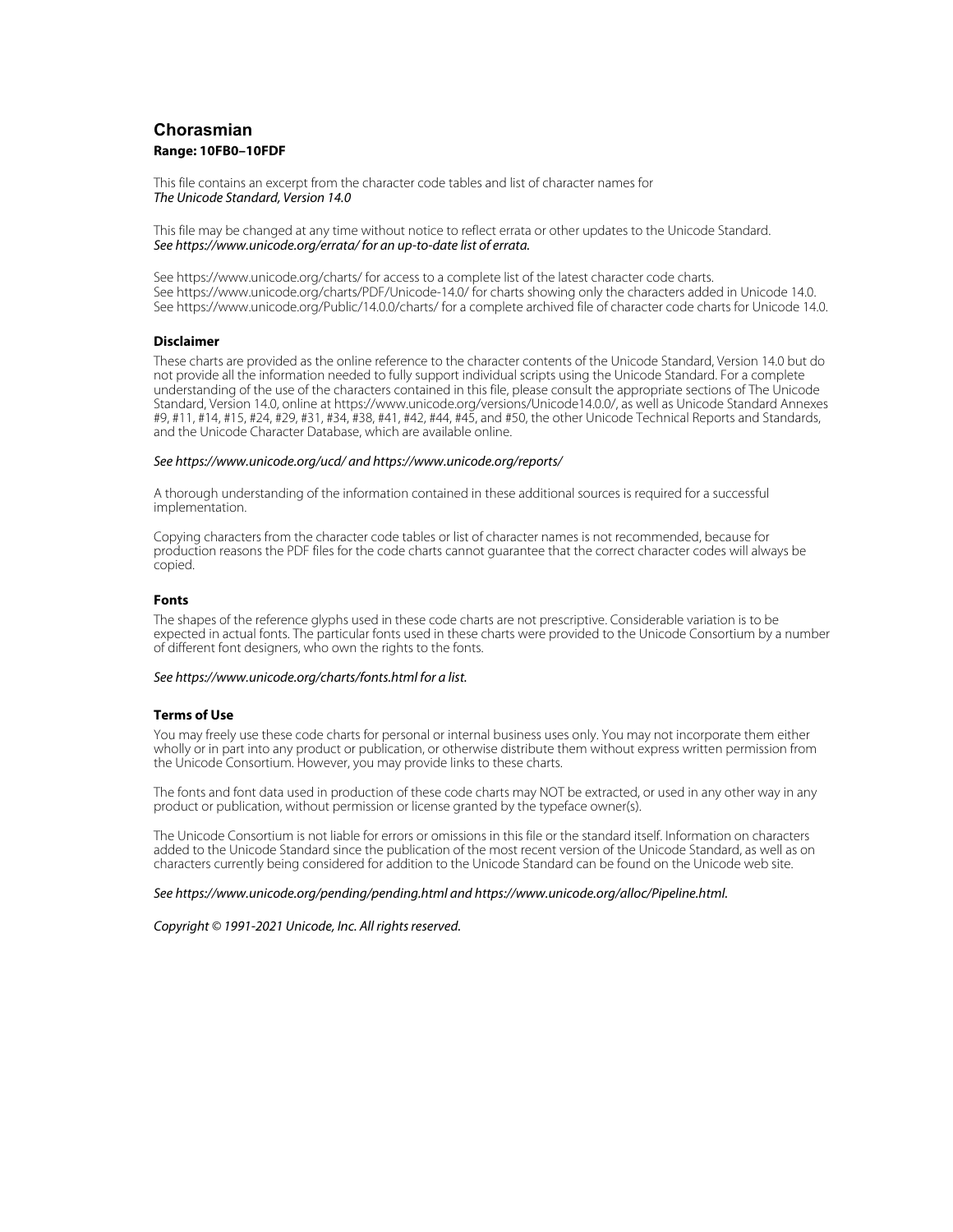# **Chorasmian** Range: 10FB0-10FDF **Range: 10FB0–10FDF**

This file contains an excerpt from the character code tables and list of character names for The Unicode Standard, Version 14.0

This file may be changed at any time without notice to reflect errata or other updates to the Unicode Standard. See https://www.unicode.org/errata/ for an up-to-date list of errata.

See https://www.unicode.org/charts/ for access to a complete list of the latest character code charts. See https://www.unicode.org/charts/PDF/Unicode-14.0/ for charts showing only the characters added in Unicode 14.0. See https://www.unicode.org/Public/14.0.0/charts/ for a complete archived file of character code charts for Unicode 14.0.

## **Disclaimer**

**Disclaimer** These charts are provided as the online reference to the character contents of the Unicode Standard, Version 14.0 but do not provide all the information needed to fully support individual scripts using the Unicode Standard. For a complete understanding of the use of the characters contained in this file, please consult the appropriate sections of The Unicode Standard, Version 14.0, online at https://www.unicode.org/versions/Unicode14.0.0/, as well as Unicode Standard Annexes #9, #11, #14, #15, #24, #29, #31, #34, #38, #41, #42, #44, #45, and #50, the other Unicode Technical Reports and Standards, and the Unicode Character Database, which are available online.

### See https://www.unicode.org/ucd/ and https://www.unicode.org/reports/

A thorough understanding of the information contained in these additional sources is required for a successful implementation.

Copying characters from the character code tables or list of character names is not recommended, because for production reasons the PDF files for the code charts cannot guarantee that the correct character codes will always be copied.

### **Fonts**

**Fonts** The shapes of the reference glyphs used in these code charts are not prescriptive. Considerable variation is to be expected in actual fonts. The particular fonts used in these charts were provided to the Unicode Consortium by a number of different font designers, who own the rights to the fonts.

### See https://www.unicode.org/charts/fonts.html for a list.

**Terms of Use** You may freely use these code charts for personal or internal business uses only. You may not incorporate them either wholly or in part into any product or publication, or otherwise distribute them without express written permission from the Unicode Consortium. However, you may provide links to these charts.

The fonts and font data used in production of these code charts may NOT be extracted, or used in any other way in any product or publication, without permission or license granted by the typeface owner(s).

The Unicode Consortium is not liable for errors or omissions in this file or the standard itself. Information on characters added to the Unicode Standard since the publication of the most recent version of the Unicode Standard, as well as on characters currently being considered for addition to the Unicode Standard can be found on the Unicode web site.

#### See https://www.unicode.org/pending/pending.html and https://www.unicode.org/alloc/Pipeline.html.

Copyright © 1991-2021 Unicode, Inc. All rights reserved.